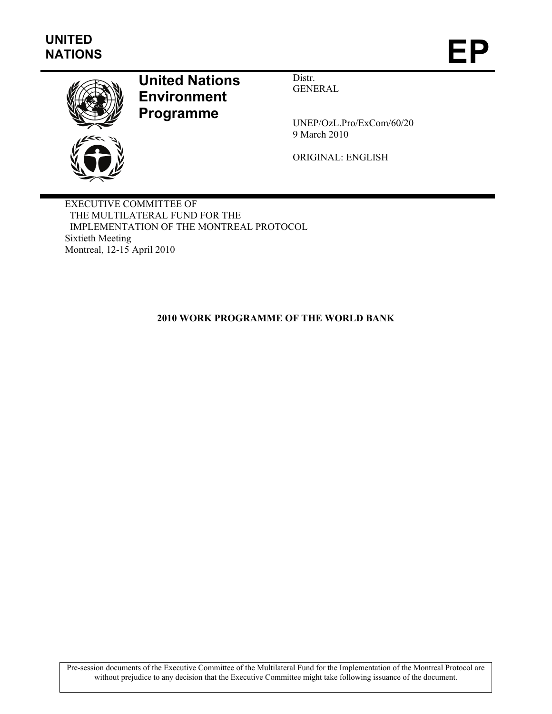

# **United Nations Environment Programme**

Distr. GENERAL

UNEP/OzL.Pro/ExCom/60/20 9 March 2010

ORIGINAL: ENGLISH

EXECUTIVE COMMITTEE OF THE MULTILATERAL FUND FOR THE IMPLEMENTATION OF THE MONTREAL PROTOCOL Sixtieth Meeting Montreal, 12-15 April 2010

**2010 WORK PROGRAMME OF THE WORLD BANK** 

Pre-session documents of the Executive Committee of the Multilateral Fund for the Implementation of the Montreal Protocol are without prejudice to any decision that the Executive Committee might take following issuance of the document.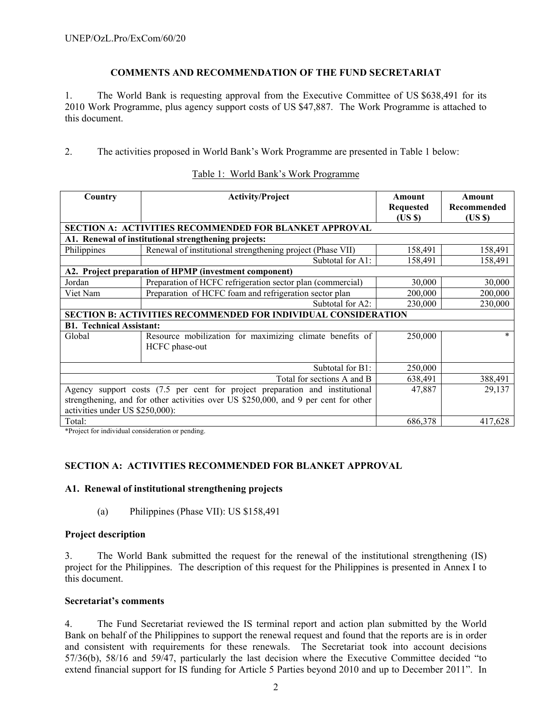## **COMMENTS AND RECOMMENDATION OF THE FUND SECRETARIAT**

1. The World Bank is requesting approval from the Executive Committee of US \$638,491 for its 2010 Work Programme, plus agency support costs of US \$47,887. The Work Programme is attached to this document.

2. The activities proposed in World Bank's Work Programme are presented in Table 1 below:

| Country                         | <b>Activity/Project</b>                                                             | Amount<br><b>Requested</b><br>(USS) | Amount<br>Recommended<br>(US \$) |
|---------------------------------|-------------------------------------------------------------------------------------|-------------------------------------|----------------------------------|
|                                 | <b>SECTION A: ACTIVITIES RECOMMENDED FOR BLANKET APPROVAL</b>                       |                                     |                                  |
|                                 | A1. Renewal of institutional strengthening projects:                                |                                     |                                  |
| Philippines                     | Renewal of institutional strengthening project (Phase VII)                          | 158,491                             | 158,491                          |
|                                 | Subtotal for A1:                                                                    | 158,491                             | 158,491                          |
|                                 | A2. Project preparation of HPMP (investment component)                              |                                     |                                  |
| Jordan                          | Preparation of HCFC refrigeration sector plan (commercial)                          | 30,000                              | 30,000                           |
| Viet Nam                        | Preparation of HCFC foam and refrigeration sector plan                              | 200,000                             | 200,000                          |
|                                 | Subtotal for A2:                                                                    | 230,000                             | 230,000                          |
|                                 | <b>SECTION B: ACTIVITIES RECOMMENDED FOR INDIVIDUAL CONSIDERATION</b>               |                                     |                                  |
| <b>B1. Technical Assistant:</b> |                                                                                     |                                     |                                  |
| Global                          | Resource mobilization for maximizing climate benefits of<br>HCFC phase-out          | 250,000                             | $\ast$                           |
|                                 | Subtotal for $B1$ :                                                                 | 250,000                             |                                  |
|                                 | Total for sections A and B                                                          | 638,491                             | 388,491                          |
|                                 | Agency support costs (7.5 per cent for project preparation and institutional        | 47,887                              | 29,137                           |
| activities under US \$250,000): | strengthening, and for other activities over US \$250,000, and 9 per cent for other |                                     |                                  |
| Total:                          |                                                                                     | 686,378                             | 417,628                          |

#### Table 1: World Bank's Work Programme

\*Project for individual consideration or pending.

# **SECTION A: ACTIVITIES RECOMMENDED FOR BLANKET APPROVAL**

#### **A1. Renewal of institutional strengthening projects**

(a) Philippines (Phase VII): US \$158,491

#### **Project description**

3. The World Bank submitted the request for the renewal of the institutional strengthening (IS) project for the Philippines. The description of this request for the Philippines is presented in Annex I to this document.

#### **Secretariat's comments**

4. The Fund Secretariat reviewed the IS terminal report and action plan submitted by the World Bank on behalf of the Philippines to support the renewal request and found that the reports are is in order and consistent with requirements for these renewals. The Secretariat took into account decisions 57/36(b), 58/16 and 59/47, particularly the last decision where the Executive Committee decided "to extend financial support for IS funding for Article 5 Parties beyond 2010 and up to December 2011". In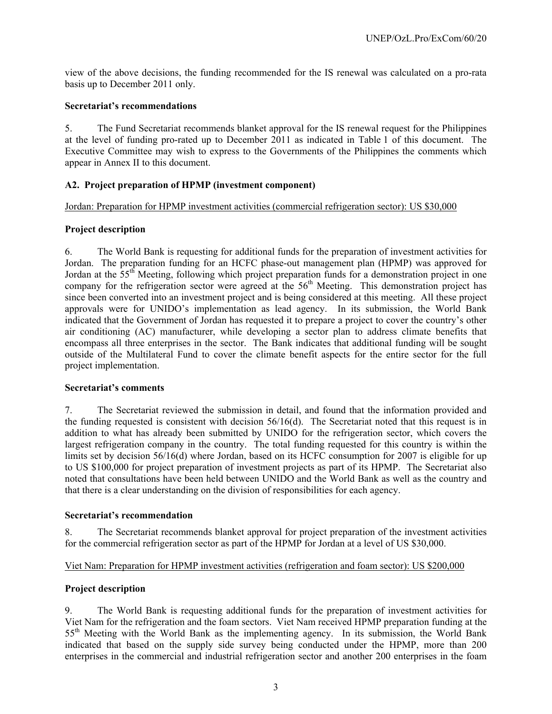view of the above decisions, the funding recommended for the IS renewal was calculated on a pro-rata basis up to December 2011 only.

#### **Secretariat's recommendations**

5. The Fund Secretariat recommends blanket approval for the IS renewal request for the Philippines at the level of funding pro-rated up to December 2011 as indicated in Table 1 of this document. The Executive Committee may wish to express to the Governments of the Philippines the comments which appear in Annex II to this document.

#### **A2. Project preparation of HPMP (investment component)**

Jordan: Preparation for HPMP investment activities (commercial refrigeration sector): US \$30,000

#### **Project description**

6. The World Bank is requesting for additional funds for the preparation of investment activities for Jordan. The preparation funding for an HCFC phase-out management plan (HPMP) was approved for Jordan at the  $55<sup>th</sup>$  Meeting, following which project preparation funds for a demonstration project in one company for the refrigeration sector were agreed at the 56<sup>th</sup> Meeting. This demonstration project has since been converted into an investment project and is being considered at this meeting. All these project approvals were for UNIDO's implementation as lead agency. In its submission, the World Bank indicated that the Government of Jordan has requested it to prepare a project to cover the country's other air conditioning (AC) manufacturer, while developing a sector plan to address climate benefits that encompass all three enterprises in the sector. The Bank indicates that additional funding will be sought outside of the Multilateral Fund to cover the climate benefit aspects for the entire sector for the full project implementation.

#### **Secretariat's comments**

7. The Secretariat reviewed the submission in detail, and found that the information provided and the funding requested is consistent with decision 56/16(d). The Secretariat noted that this request is in addition to what has already been submitted by UNIDO for the refrigeration sector, which covers the largest refrigeration company in the country. The total funding requested for this country is within the limits set by decision 56/16(d) where Jordan, based on its HCFC consumption for 2007 is eligible for up to US \$100,000 for project preparation of investment projects as part of its HPMP. The Secretariat also noted that consultations have been held between UNIDO and the World Bank as well as the country and that there is a clear understanding on the division of responsibilities for each agency.

#### **Secretariat's recommendation**

8. The Secretariat recommends blanket approval for project preparation of the investment activities for the commercial refrigeration sector as part of the HPMP for Jordan at a level of US \$30,000.

# Viet Nam: Preparation for HPMP investment activities (refrigeration and foam sector): US \$200,000

#### **Project description**

9. The World Bank is requesting additional funds for the preparation of investment activities for Viet Nam for the refrigeration and the foam sectors. Viet Nam received HPMP preparation funding at the 55<sup>th</sup> Meeting with the World Bank as the implementing agency. In its submission, the World Bank indicated that based on the supply side survey being conducted under the HPMP, more than 200 enterprises in the commercial and industrial refrigeration sector and another 200 enterprises in the foam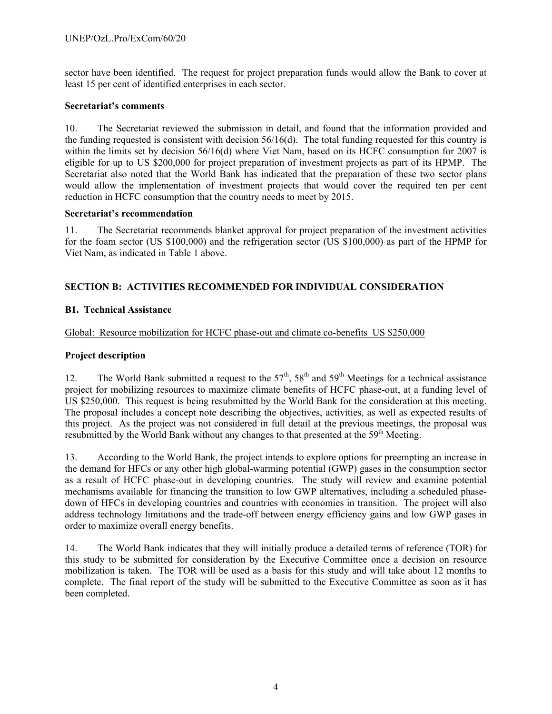sector have been identified. The request for project preparation funds would allow the Bank to cover at least 15 per cent of identified enterprises in each sector.

#### **Secretariat's comments**

10. The Secretariat reviewed the submission in detail, and found that the information provided and the funding requested is consistent with decision  $56/16(d)$ . The total funding requested for this country is within the limits set by decision 56/16(d) where Viet Nam, based on its HCFC consumption for 2007 is eligible for up to US \$200,000 for project preparation of investment projects as part of its HPMP. The Secretariat also noted that the World Bank has indicated that the preparation of these two sector plans would allow the implementation of investment projects that would cover the required ten per cent reduction in HCFC consumption that the country needs to meet by 2015.

#### **Secretariat's recommendation**

11. The Secretariat recommends blanket approval for project preparation of the investment activities for the foam sector (US \$100,000) and the refrigeration sector (US \$100,000) as part of the HPMP for Viet Nam, as indicated in Table 1 above.

### **SECTION B: ACTIVITIES RECOMMENDED FOR INDIVIDUAL CONSIDERATION**

#### **B1. Technical Assistance**

Global: Resource mobilization for HCFC phase-out and climate co-benefits US \$250,000

#### **Project description**

12. The World Bank submitted a request to the  $57<sup>th</sup>$ ,  $58<sup>th</sup>$  and  $59<sup>th</sup>$  Meetings for a technical assistance project for mobilizing resources to maximize climate benefits of HCFC phase-out, at a funding level of US \$250,000. This request is being resubmitted by the World Bank for the consideration at this meeting. The proposal includes a concept note describing the objectives, activities, as well as expected results of this project. As the project was not considered in full detail at the previous meetings, the proposal was resubmitted by the World Bank without any changes to that presented at the 59<sup>th</sup> Meeting.

13. According to the World Bank, the project intends to explore options for preempting an increase in the demand for HFCs or any other high global-warming potential (GWP) gases in the consumption sector as a result of HCFC phase-out in developing countries. The study will review and examine potential mechanisms available for financing the transition to low GWP alternatives, including a scheduled phasedown of HFCs in developing countries and countries with economies in transition. The project will also address technology limitations and the trade-off between energy efficiency gains and low GWP gases in order to maximize overall energy benefits.

14. The World Bank indicates that they will initially produce a detailed terms of reference (TOR) for this study to be submitted for consideration by the Executive Committee once a decision on resource mobilization is taken. The TOR will be used as a basis for this study and will take about 12 months to complete. The final report of the study will be submitted to the Executive Committee as soon as it has been completed.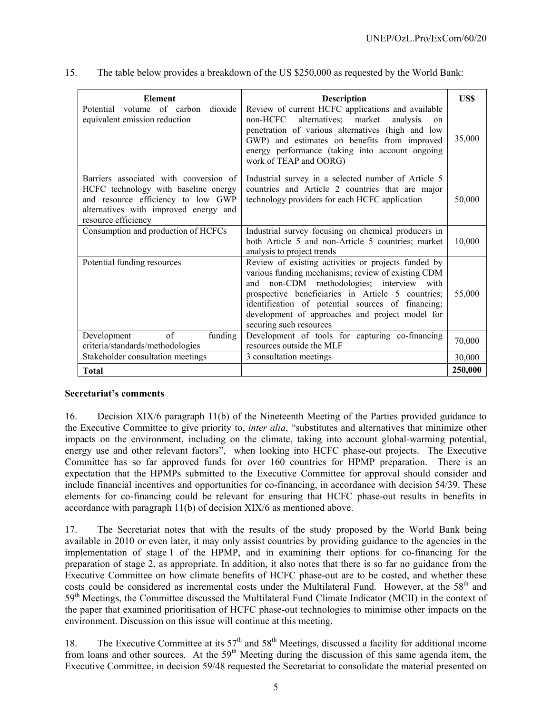| <b>Element</b>                                                                                                                                                                       | <b>Description</b>                                                                                                                                                                                                                                                                                                                                | US\$    |
|--------------------------------------------------------------------------------------------------------------------------------------------------------------------------------------|---------------------------------------------------------------------------------------------------------------------------------------------------------------------------------------------------------------------------------------------------------------------------------------------------------------------------------------------------|---------|
| Potential volume of carbon<br>dioxide<br>equivalent emission reduction                                                                                                               | Review of current HCFC applications and available<br>non-HCFC<br>alternatives; market<br>analysis<br>on<br>penetration of various alternatives (high and low<br>GWP) and estimates on benefits from improved<br>energy performance (taking into account ongoing<br>work of TEAP and OORG)                                                         | 35,000  |
| Barriers associated with conversion of<br>HCFC technology with baseline energy<br>and resource efficiency to low GWP<br>alternatives with improved energy and<br>resource efficiency | Industrial survey in a selected number of Article 5<br>countries and Article 2 countries that are major<br>technology providers for each HCFC application                                                                                                                                                                                         | 50,000  |
| Consumption and production of HCFCs                                                                                                                                                  | Industrial survey focusing on chemical producers in<br>both Article 5 and non-Article 5 countries; market<br>analysis to project trends                                                                                                                                                                                                           | 10,000  |
| Potential funding resources                                                                                                                                                          | Review of existing activities or projects funded by<br>various funding mechanisms; review of existing CDM<br>and non-CDM methodologies; interview<br>with<br>prospective beneficiaries in Article 5 countries;<br>identification of potential sources of financing;<br>development of approaches and project model for<br>securing such resources | 55,000  |
| of<br>funding<br>Development<br>criteria/standards/methodologies                                                                                                                     | Development of tools for capturing co-financing<br>resources outside the MLF                                                                                                                                                                                                                                                                      | 70,000  |
| Stakeholder consultation meetings                                                                                                                                                    | 3 consultation meetings                                                                                                                                                                                                                                                                                                                           | 30,000  |
| <b>Total</b>                                                                                                                                                                         |                                                                                                                                                                                                                                                                                                                                                   | 250,000 |

15. The table below provides a breakdown of the US \$250,000 as requested by the World Bank:

#### **Secretariat's comments**

16. Decision XIX/6 paragraph 11(b) of the Nineteenth Meeting of the Parties provided guidance to the Executive Committee to give priority to, *inter alia*, "substitutes and alternatives that minimize other impacts on the environment, including on the climate, taking into account global-warming potential, energy use and other relevant factors", when looking into HCFC phase-out projects. The Executive Committee has so far approved funds for over 160 countries for HPMP preparation. There is an expectation that the HPMPs submitted to the Executive Committee for approval should consider and include financial incentives and opportunities for co-financing, in accordance with decision 54/39. These elements for co-financing could be relevant for ensuring that HCFC phase-out results in benefits in accordance with paragraph 11(b) of decision XIX/6 as mentioned above.

17. The Secretariat notes that with the results of the study proposed by the World Bank being available in 2010 or even later, it may only assist countries by providing guidance to the agencies in the implementation of stage 1 of the HPMP, and in examining their options for co-financing for the preparation of stage 2, as appropriate. In addition, it also notes that there is so far no guidance from the Executive Committee on how climate benefits of HCFC phase-out are to be costed, and whether these costs could be considered as incremental costs under the Multilateral Fund. However, at the 58<sup>th</sup> and 59th Meetings, the Committee discussed the Multilateral Fund Climate Indicator (MCII) in the context of the paper that examined prioritisation of HCFC phase-out technologies to minimise other impacts on the environment. Discussion on this issue will continue at this meeting.

18. The Executive Committee at its  $57<sup>th</sup>$  and  $58<sup>th</sup>$  Meetings, discussed a facility for additional income from loans and other sources. At the  $59<sup>th</sup>$  Meeting during the discussion of this same agenda item, the Executive Committee, in decision 59/48 requested the Secretariat to consolidate the material presented on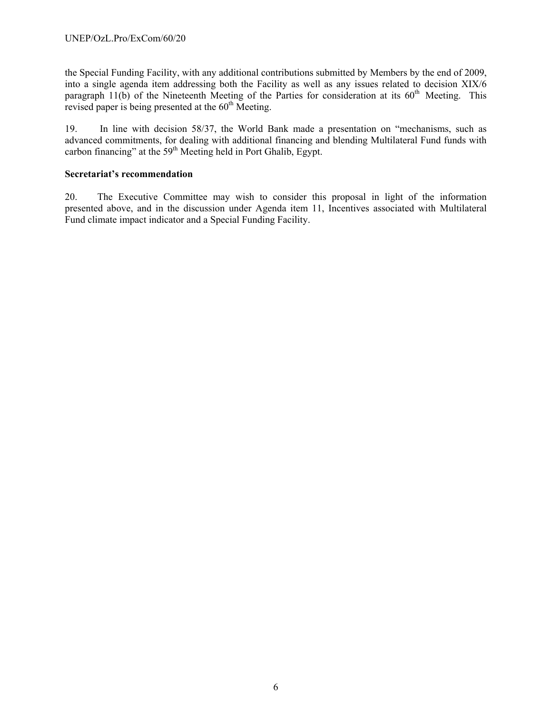the Special Funding Facility, with any additional contributions submitted by Members by the end of 2009, into a single agenda item addressing both the Facility as well as any issues related to decision XIX/6 paragraph  $11(b)$  of the Nineteenth Meeting of the Parties for consideration at its  $60<sup>th</sup>$  Meeting. This revised paper is being presented at the  $60<sup>th</sup>$  Meeting.

19. In line with decision 58/37, the World Bank made a presentation on "mechanisms, such as advanced commitments, for dealing with additional financing and blending Multilateral Fund funds with carbon financing" at the  $59<sup>th</sup>$  Meeting held in Port Ghalib, Egypt.

### **Secretariat's recommendation**

20. The Executive Committee may wish to consider this proposal in light of the information presented above, and in the discussion under Agenda item 11, Incentives associated with Multilateral Fund climate impact indicator and a Special Funding Facility.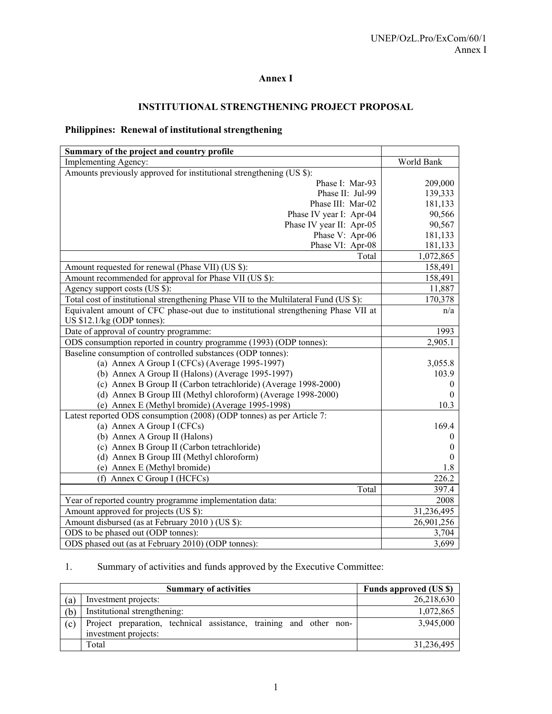# **Annex I**

# **INSTITUTIONAL STRENGTHENING PROJECT PROPOSAL**

# **Philippines: Renewal of institutional strengthening**

| Summary of the project and country profile                                            |                  |
|---------------------------------------------------------------------------------------|------------------|
| Implementing Agency:                                                                  | World Bank       |
| Amounts previously approved for institutional strengthening (US \$):                  |                  |
| Phase I: Mar-93                                                                       | 209,000          |
| Phase II: Jul-99                                                                      | 139,333          |
| Phase III: Mar-02                                                                     | 181,133          |
| Phase IV year I: Apr-04                                                               | 90,566           |
| Phase IV year II: Apr-05                                                              | 90,567           |
| Phase V: Apr-06                                                                       | 181,133          |
| Phase VI: Apr-08                                                                      | 181,133          |
| Total                                                                                 | 1,072,865        |
| Amount requested for renewal (Phase VII) (US \$):                                     | 158,491          |
| Amount recommended for approval for Phase VII (US \$):                                | 158,491          |
| Agency support costs (US \$):                                                         | 11,887           |
| Total cost of institutional strengthening Phase VII to the Multilateral Fund (US \$): | 170,378          |
| Equivalent amount of CFC phase-out due to institutional strengthening Phase VII at    | n/a              |
| US $$12.1/kg$ (ODP tonnes):                                                           |                  |
| Date of approval of country programme:                                                | 1993             |
| ODS consumption reported in country programme (1993) (ODP tonnes):                    | 2,905.1          |
| Baseline consumption of controlled substances (ODP tonnes):                           |                  |
| (a) Annex A Group I (CFCs) (Average 1995-1997)                                        | 3,055.8          |
| (b) Annex A Group II (Halons) (Average 1995-1997)                                     | 103.9            |
| (c) Annex B Group II (Carbon tetrachloride) (Average 1998-2000)                       | $\theta$         |
| (d) Annex B Group III (Methyl chloroform) (Average 1998-2000)                         | $\theta$         |
| (e) Annex E (Methyl bromide) (Average 1995-1998)                                      | 10.3             |
| Latest reported ODS consumption (2008) (ODP tonnes) as per Article 7:                 |                  |
| (a) Annex A Group I (CFCs)                                                            | 169.4            |
| (b) Annex A Group II (Halons)                                                         | $\theta$         |
| (c) Annex B Group II (Carbon tetrachloride)                                           | $\boldsymbol{0}$ |
| (d) Annex B Group III (Methyl chloroform)                                             | $\theta$         |
| (e) Annex E (Methyl bromide)                                                          | 1.8              |
| (f) Annex C Group I (HCFCs)                                                           | 226.2            |
| Total                                                                                 | 397.4            |
| Year of reported country programme implementation data:                               | 2008             |
| Amount approved for projects (US \$):                                                 | 31,236,495       |
| Amount disbursed (as at February 2010) (US \$):                                       | 26,901,256       |
| ODS to be phased out (ODP tonnes):                                                    | 3,704            |
| ODS phased out (as at February 2010) (ODP tonnes):                                    | 3,699            |

# 1. Summary of activities and funds approved by the Executive Committee:

|     | <b>Summary of activities</b>                                                               | Funds approved (US \$) |
|-----|--------------------------------------------------------------------------------------------|------------------------|
| (a) | Investment projects:                                                                       | 26,218,630             |
| (b) | Institutional strengthening:                                                               | 1,072,865              |
| (c) | Project preparation, technical assistance, training and other non-<br>investment projects: | 3,945,000              |
|     | Total                                                                                      | 31,236,495             |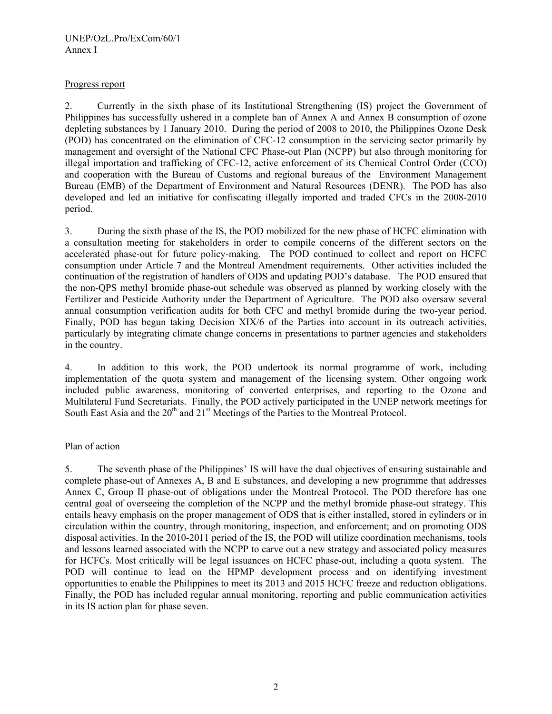## Progress report

2. Currently in the sixth phase of its Institutional Strengthening (IS) project the Government of Philippines has successfully ushered in a complete ban of Annex A and Annex B consumption of ozone depleting substances by 1 January 2010. During the period of 2008 to 2010, the Philippines Ozone Desk (POD) has concentrated on the elimination of CFC-12 consumption in the servicing sector primarily by management and oversight of the National CFC Phase-out Plan (NCPP) but also through monitoring for illegal importation and trafficking of CFC-12, active enforcement of its Chemical Control Order (CCO) and cooperation with the Bureau of Customs and regional bureaus of the Environment Management Bureau (EMB) of the Department of Environment and Natural Resources (DENR). The POD has also developed and led an initiative for confiscating illegally imported and traded CFCs in the 2008-2010 period.

3. During the sixth phase of the IS, the POD mobilized for the new phase of HCFC elimination with a consultation meeting for stakeholders in order to compile concerns of the different sectors on the accelerated phase-out for future policy-making. The POD continued to collect and report on HCFC consumption under Article 7 and the Montreal Amendment requirements. Other activities included the continuation of the registration of handlers of ODS and updating POD's database. The POD ensured that the non-QPS methyl bromide phase-out schedule was observed as planned by working closely with the Fertilizer and Pesticide Authority under the Department of Agriculture. The POD also oversaw several annual consumption verification audits for both CFC and methyl bromide during the two-year period. Finally, POD has begun taking Decision XIX/6 of the Parties into account in its outreach activities, particularly by integrating climate change concerns in presentations to partner agencies and stakeholders in the country.

4. In addition to this work, the POD undertook its normal programme of work, including implementation of the quota system and management of the licensing system. Other ongoing work included public awareness, monitoring of converted enterprises, and reporting to the Ozone and Multilateral Fund Secretariats. Finally, the POD actively participated in the UNEP network meetings for South East Asia and the  $20<sup>th</sup>$  and  $21<sup>st</sup>$  Meetings of the Parties to the Montreal Protocol.

# Plan of action

5. The seventh phase of the Philippines' IS will have the dual objectives of ensuring sustainable and complete phase-out of Annexes A, B and E substances, and developing a new programme that addresses Annex C, Group II phase-out of obligations under the Montreal Protocol. The POD therefore has one central goal of overseeing the completion of the NCPP and the methyl bromide phase-out strategy. This entails heavy emphasis on the proper management of ODS that is either installed, stored in cylinders or in circulation within the country, through monitoring, inspection, and enforcement; and on promoting ODS disposal activities. In the 2010-2011 period of the IS, the POD will utilize coordination mechanisms, tools and lessons learned associated with the NCPP to carve out a new strategy and associated policy measures for HCFCs. Most critically will be legal issuances on HCFC phase-out, including a quota system. The POD will continue to lead on the HPMP development process and on identifying investment opportunities to enable the Philippines to meet its 2013 and 2015 HCFC freeze and reduction obligations. Finally, the POD has included regular annual monitoring, reporting and public communication activities in its IS action plan for phase seven.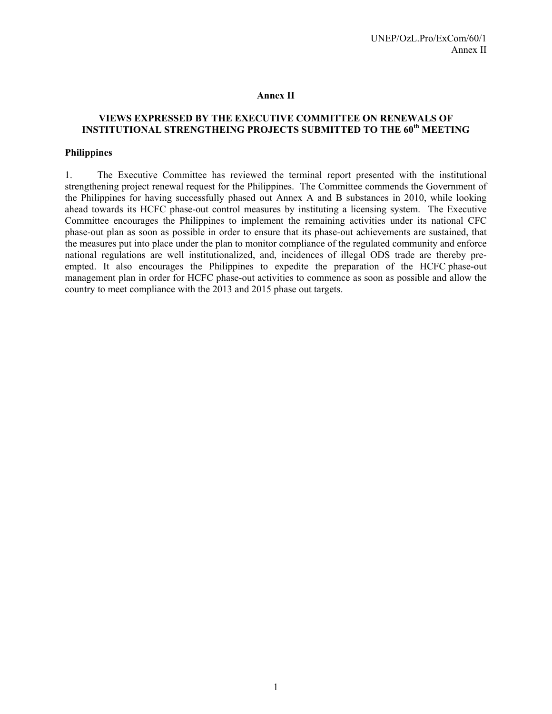#### **Annex II**

# **VIEWS EXPRESSED BY THE EXECUTIVE COMMITTEE ON RENEWALS OF INSTITUTIONAL STRENGTHEING PROJECTS SUBMITTED TO THE 60th MEETING**

#### **Philippines**

1. The Executive Committee has reviewed the terminal report presented with the institutional strengthening project renewal request for the Philippines. The Committee commends the Government of the Philippines for having successfully phased out Annex A and B substances in 2010, while looking ahead towards its HCFC phase-out control measures by instituting a licensing system. The Executive Committee encourages the Philippines to implement the remaining activities under its national CFC phase-out plan as soon as possible in order to ensure that its phase-out achievements are sustained, that the measures put into place under the plan to monitor compliance of the regulated community and enforce national regulations are well institutionalized, and, incidences of illegal ODS trade are thereby preempted. It also encourages the Philippines to expedite the preparation of the HCFC phase-out management plan in order for HCFC phase-out activities to commence as soon as possible and allow the country to meet compliance with the 2013 and 2015 phase out targets.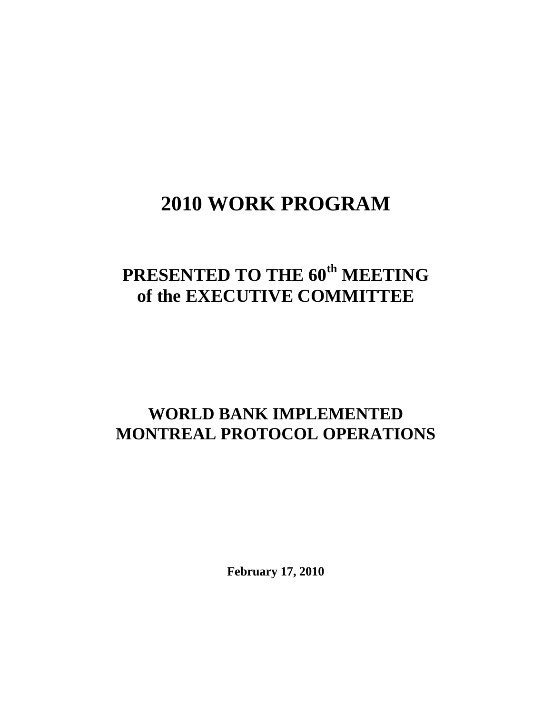# **2010 WORK PROGRAM**

# **PRESENTED TO THE 60th MEETING of the EXECUTIVE COMMITTEE**

# **WORLD BANK IMPLEMENTED MONTREAL PROTOCOL OPERATIONS**

**February 17, 2010**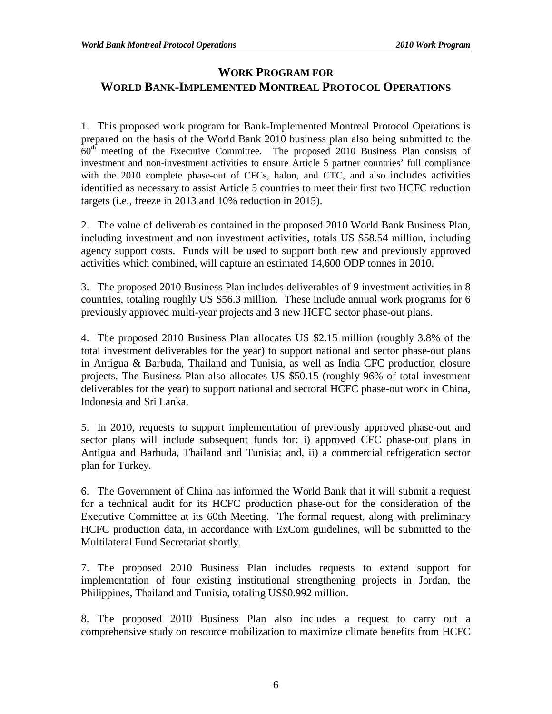# **WORK PROGRAM FOR WORLD BANK-IMPLEMENTED MONTREAL PROTOCOL OPERATIONS**

1. This proposed work program for Bank-Implemented Montreal Protocol Operations is prepared on the basis of the World Bank 2010 business plan also being submitted to the  $60<sup>th</sup>$  meeting of the Executive Committee. The proposed 2010 Business Plan consists of investment and non-investment activities to ensure Article 5 partner countries' full compliance with the 2010 complete phase-out of CFCs, halon, and CTC, and also includes activities identified as necessary to assist Article 5 countries to meet their first two HCFC reduction targets (i.e., freeze in 2013 and 10% reduction in 2015).

2. The value of deliverables contained in the proposed 2010 World Bank Business Plan, including investment and non investment activities, totals US \$58.54 million, including agency support costs. Funds will be used to support both new and previously approved activities which combined, will capture an estimated 14,600 ODP tonnes in 2010.

3. The proposed 2010 Business Plan includes deliverables of 9 investment activities in 8 countries, totaling roughly US \$56.3 million. These include annual work programs for 6 previously approved multi-year projects and 3 new HCFC sector phase-out plans.

4. The proposed 2010 Business Plan allocates US \$2.15 million (roughly 3.8% of the total investment deliverables for the year) to support national and sector phase-out plans in Antigua & Barbuda, Thailand and Tunisia, as well as India CFC production closure projects. The Business Plan also allocates US \$50.15 (roughly 96% of total investment deliverables for the year) to support national and sectoral HCFC phase-out work in China, Indonesia and Sri Lanka.

5. In 2010, requests to support implementation of previously approved phase-out and sector plans will include subsequent funds for: i) approved CFC phase-out plans in Antigua and Barbuda, Thailand and Tunisia; and, ii) a commercial refrigeration sector plan for Turkey.

6. The Government of China has informed the World Bank that it will submit a request for a technical audit for its HCFC production phase-out for the consideration of the Executive Committee at its 60th Meeting. The formal request, along with preliminary HCFC production data, in accordance with ExCom guidelines, will be submitted to the Multilateral Fund Secretariat shortly.

7. The proposed 2010 Business Plan includes requests to extend support for implementation of four existing institutional strengthening projects in Jordan, the Philippines, Thailand and Tunisia, totaling US\$0.992 million.

8. The proposed 2010 Business Plan also includes a request to carry out a comprehensive study on resource mobilization to maximize climate benefits from HCFC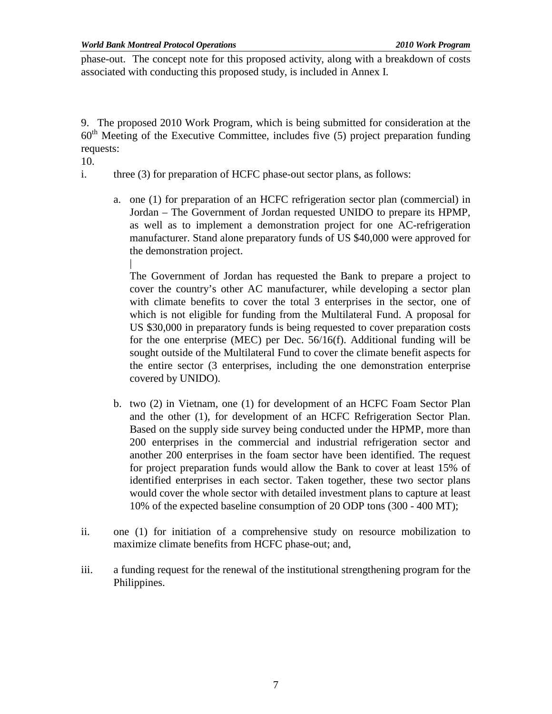phase-out. The concept note for this proposed activity, along with a breakdown of costs associated with conducting this proposed study, is included in Annex I.

9. The proposed 2010 Work Program, which is being submitted for consideration at the  $60<sup>th</sup>$  Meeting of the Executive Committee, includes five (5) project preparation funding requests:

10.

- i. three (3) for preparation of HCFC phase-out sector plans, as follows:
	- a. one (1) for preparation of an HCFC refrigeration sector plan (commercial) in Jordan – The Government of Jordan requested UNIDO to prepare its HPMP, as well as to implement a demonstration project for one AC-refrigeration manufacturer. Stand alone preparatory funds of US \$40,000 were approved for the demonstration project.

| The Government of Jordan has requested the Bank to prepare a project to cover the country's other AC manufacturer, while developing a sector plan with climate benefits to cover the total 3 enterprises in the sector, one of which is not eligible for funding from the Multilateral Fund. A proposal for US \$30,000 in preparatory funds is being requested to cover preparation costs for the one enterprise (MEC) per Dec. 56/16(f). Additional funding will be sought outside of the Multilateral Fund to cover the climate benefit aspects for the entire sector (3 enterprises, including the one demonstration enterprise covered by UNIDO).

- b. two (2) in Vietnam, one (1) for development of an HCFC Foam Sector Plan and the other (1), for development of an HCFC Refrigeration Sector Plan. Based on the supply side survey being conducted under the HPMP, more than 200 enterprises in the commercial and industrial refrigeration sector and another 200 enterprises in the foam sector have been identified. The request for project preparation funds would allow the Bank to cover at least 15% of identified enterprises in each sector. Taken together, these two sector plans would cover the whole sector with detailed investment plans to capture at least 10% of the expected baseline consumption of 20 ODP tons (300 - 400 MT);
- ii. one (1) for initiation of a comprehensive study on resource mobilization to maximize climate benefits from HCFC phase-out; and,
- iii. a funding request for the renewal of the institutional strengthening program for the Philippines.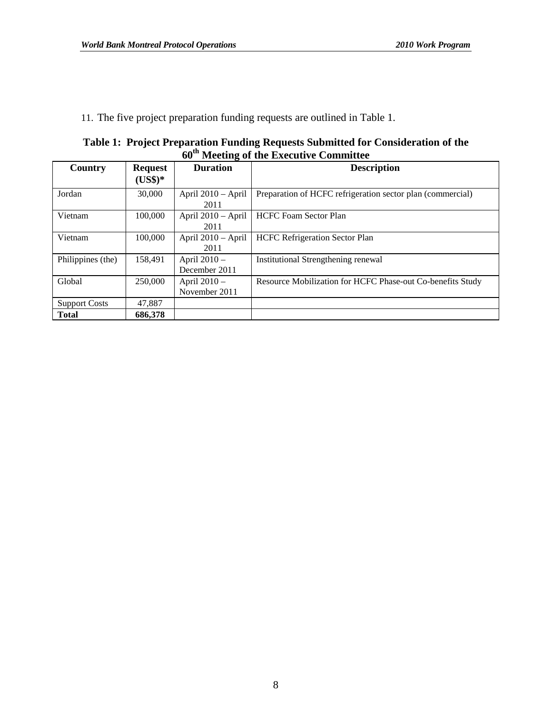11. The five project preparation funding requests are outlined in Table 1.

| Table 1: Project Preparation Funding Requests Submitted for Consideration of the |
|----------------------------------------------------------------------------------|
| 60 <sup>th</sup> Meeting of the Executive Committee                              |

| <b>Country</b>       | <b>Request</b> | <b>Duration</b>    | <b>Description</b>                                         |
|----------------------|----------------|--------------------|------------------------------------------------------------|
|                      | $(US$)*$       |                    |                                                            |
| Jordan               | 30,000         | April 2010 - April | Preparation of HCFC refrigeration sector plan (commercial) |
|                      |                | 2011               |                                                            |
| Vietnam              | 100,000        | April 2010 - April | <b>HCFC Foam Sector Plan</b>                               |
|                      |                | 2011               |                                                            |
| Vietnam              | 100,000        | April 2010 - April | <b>HCFC</b> Refrigeration Sector Plan                      |
|                      |                | 2011               |                                                            |
| Philippines (the)    | 158,491        | April 2010 -       | Institutional Strengthening renewal                        |
|                      |                | December 2011      |                                                            |
| Global               | 250,000        | April 2010 -       | Resource Mobilization for HCFC Phase-out Co-benefits Study |
|                      |                | November 2011      |                                                            |
| <b>Support Costs</b> | 47.887         |                    |                                                            |
| <b>Total</b>         | 686,378        |                    |                                                            |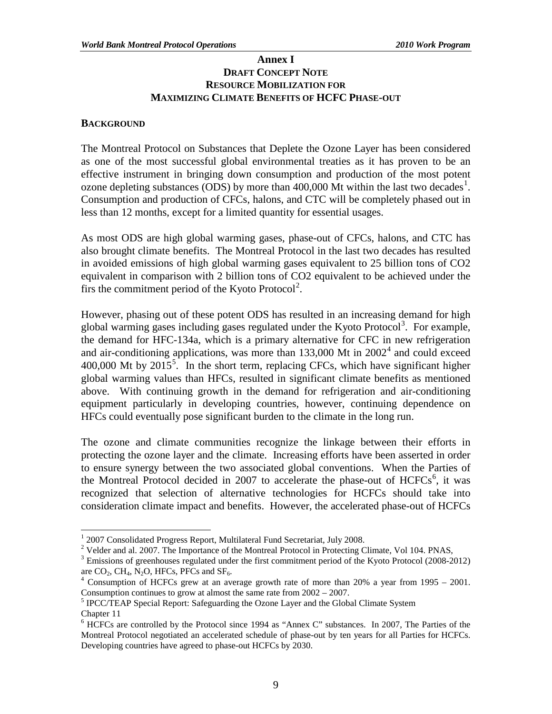# **Annex I DRAFT CONCEPT NOTE RESOURCE MOBILIZATION FOR MAXIMIZING CLIMATE BENEFITS OF HCFC PHASE-OUT**

## **BACKGROUND**

The Montreal Protocol on Substances that Deplete the Ozone Layer has been considered as one of the most successful global environmental treaties as it has proven to be an effective instrument in bringing down consumption and production of the most potent ozone depleting substances (ODS) by more than  $400,000$  Mt within the last two decades<sup>[1](#page-13-0)</sup>. Consumption and production of CFCs, halons, and CTC will be completely phased out in less than 12 months, except for a limited quantity for essential usages.

As most ODS are high global warming gases, phase-out of CFCs, halons, and CTC has also brought climate benefits. The Montreal Protocol in the last two decades has resulted in avoided emissions of high global warming gases equivalent to 25 billion tons of CO2 equivalent in comparison with 2 billion tons of CO2 equivalent to be achieved under the firs the commitment period of the Kyoto Protocol<sup>[2](#page-13-1)</sup>.

However, phasing out of these potent ODS has resulted in an increasing demand for high global warming gases including gases regulated under the Kyoto Protocol<sup>[3](#page-13-2)</sup>. For example, the demand for HFC-134a, which is a primary alternative for CFC in new refrigeration and air-conditioning applications, was more than  $133,000$  Mt in  $2002<sup>4</sup>$  $2002<sup>4</sup>$  $2002<sup>4</sup>$  and could exceed 400,000 Mt by  $2015<sup>5</sup>$  $2015<sup>5</sup>$  $2015<sup>5</sup>$ . In the short term, replacing CFCs, which have significant higher global warming values than HFCs, resulted in significant climate benefits as mentioned above. With continuing growth in the demand for refrigeration and air-conditioning equipment particularly in developing countries, however, continuing dependence on HFCs could eventually pose significant burden to the climate in the long run.

The ozone and climate communities recognize the linkage between their efforts in protecting the ozone layer and the climate. Increasing efforts have been asserted in order to ensure synergy between the two associated global conventions. When the Parties of the Montreal Protocol decided in 2007 to accelerate the phase-out of  $HCFCs<sup>6</sup>$  $HCFCs<sup>6</sup>$  $HCFCs<sup>6</sup>$ , it was recognized that selection of alternative technologies for HCFCs should take into consideration climate impact and benefits. However, the accelerated phase-out of HCFCs

 $1$  2007 Consolidated Progress Report, Multilateral Fund Secretariat, July 2008.

<span id="page-13-1"></span><span id="page-13-0"></span><sup>&</sup>lt;sup>2</sup> Velder and al. 2007. The Importance of the Montreal Protocol in Protecting Climate, Vol 104. PNAS,

<span id="page-13-2"></span><sup>&</sup>lt;sup>3</sup> Emissions of greenhouses regulated under the first commitment period of the Kyoto Protocol (2008-2012) are  $CO_2$ , CH<sub>4</sub>, N<sub>2</sub>O, HFCs, PFCs and SF<sub>6</sub>.

<span id="page-13-3"></span> $4$  Consumption of HCFCs grew at an average growth rate of more than 20% a year from 1995 – 2001.

<span id="page-13-4"></span>Consumption continues to grow at almost the same rate from  $2002 - 2007$ .<br><sup>5</sup> IPCC/TEAP Special Report: Safeguarding the Ozone Layer and the Global Climate System Chapter 11

<span id="page-13-5"></span><sup>6</sup> HCFCs are controlled by the Protocol since 1994 as "Annex C" substances. In 2007, The Parties of the Montreal Protocol negotiated an accelerated schedule of phase-out by ten years for all Parties for HCFCs. Developing countries have agreed to phase-out HCFCs by 2030.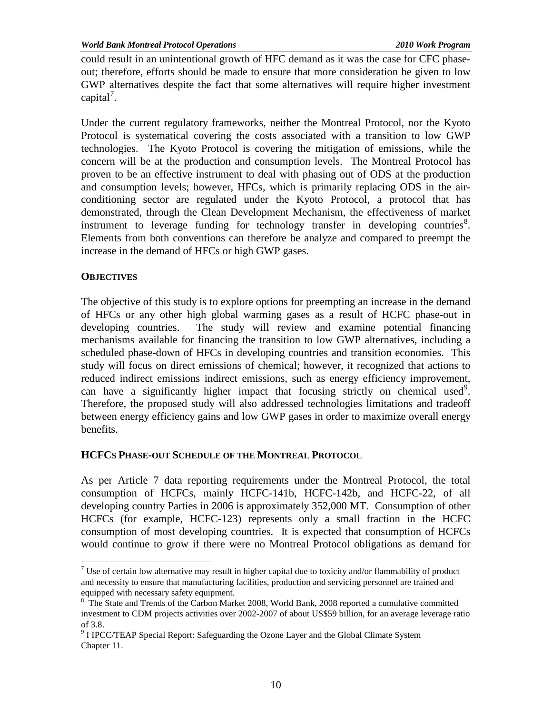could result in an unintentional growth of HFC demand as it was the case for CFC phaseout; therefore, efforts should be made to ensure that more consideration be given to low GWP alternatives despite the fact that some alternatives will require higher investment capital<sup>[7](#page-14-0)</sup>.

Under the current regulatory frameworks, neither the Montreal Protocol, nor the Kyoto Protocol is systematical covering the costs associated with a transition to low GWP technologies. The Kyoto Protocol is covering the mitigation of emissions, while the concern will be at the production and consumption levels. The Montreal Protocol has proven to be an effective instrument to deal with phasing out of ODS at the production and consumption levels; however, HFCs, which is primarily replacing ODS in the airconditioning sector are regulated under the Kyoto Protocol, a protocol that has demonstrated, through the Clean Development Mechanism, the effectiveness of market instrument to leverage funding for technology transfer in developing countries<sup>[8](#page-14-1)</sup>. Elements from both conventions can therefore be analyze and compared to preempt the increase in the demand of HFCs or high GWP gases.

# **OBJECTIVES**

The objective of this study is to explore options for preempting an increase in the demand of HFCs or any other high global warming gases as a result of HCFC phase-out in developing countries. The study will review and examine potential financing mechanisms available for financing the transition to low GWP alternatives, including a scheduled phase-down of HFCs in developing countries and transition economies. This study will focus on direct emissions of chemical; however, it recognized that actions to reduced indirect emissions indirect emissions, such as energy efficiency improvement, can have a significantly higher impact that focusing strictly on chemical used<sup>[9](#page-14-2)</sup>. Therefore, the proposed study will also addressed technologies limitations and tradeoff between energy efficiency gains and low GWP gases in order to maximize overall energy benefits.

# **HCFCS PHASE-OUT SCHEDULE OF THE MONTREAL PROTOCOL**

As per Article 7 data reporting requirements under the Montreal Protocol, the total consumption of HCFCs, mainly HCFC-141b, HCFC-142b, and HCFC-22, of all developing country Parties in 2006 is approximately 352,000 MT. Consumption of other HCFCs (for example, HCFC-123) represents only a small fraction in the HCFC consumption of most developing countries. It is expected that consumption of HCFCs would continue to grow if there were no Montreal Protocol obligations as demand for

<span id="page-14-0"></span> $7$  Use of certain low alternative may result in higher capital due to toxicity and/or flammability of product and necessity to ensure that manufacturing facilities, production and servicing personnel are trained and equipped with necessary safety equipment.

<span id="page-14-1"></span><sup>&</sup>lt;sup>8</sup> The State and Trends of the Carbon Market 2008, World Bank, 2008 reported a cumulative committed investment to CDM projects activities over 2002-2007 of about US\$59 billion, for an average leverage ratio

<span id="page-14-2"></span>of 3.8. <sup>9</sup> I IPCC/TEAP Special Report: Safeguarding the Ozone Layer and the Global Climate System Chapter 11.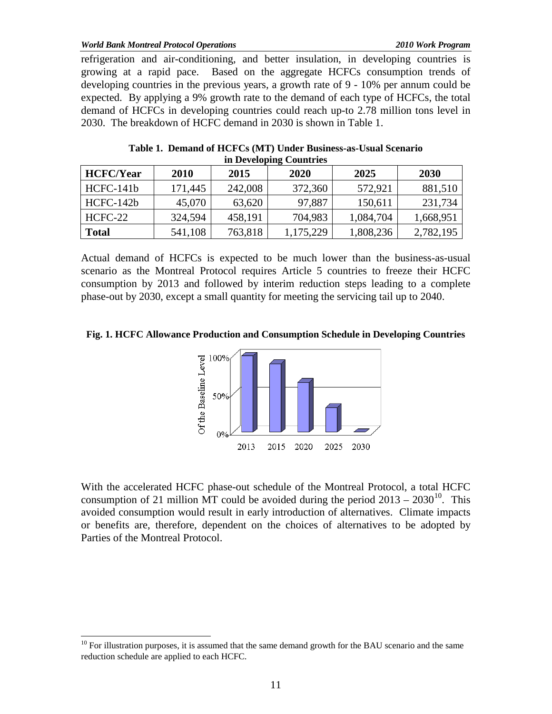#### *World Bank Montreal Protocol Operations 2010 Work Program*

refrigeration and air-conditioning, and better insulation, in developing countries is growing at a rapid pace. Based on the aggregate HCFCs consumption trends of developing countries in the previous years, a growth rate of 9 - 10% per annum could be expected. By applying a 9% growth rate to the demand of each type of HCFCs, the total demand of HCFCs in developing countries could reach up-to 2.78 million tons level in 2030. The breakdown of HCFC demand in 2030 is shown in Table 1.

|                  |         |         | III Developing Countries |           |           |
|------------------|---------|---------|--------------------------|-----------|-----------|
| <b>HCFC/Year</b> | 2010    | 2015    | 2020                     | 2025      | 2030      |
| HCFC-141b        | 171,445 | 242,008 | 372,360                  | 572,921   | 881,510   |
| HCFC-142b        | 45,070  | 63,620  | 97,887                   | 150,611   | 231,734   |
| HCFC-22          | 324,594 | 458,191 | 704,983                  | 1,084,704 | 1,668,951 |
| <b>Total</b>     | 541,108 | 763,818 | 1,175,229                | 1,808,236 | 2,782,195 |

| Table 1. Demand of HCFCs (MT) Under Business-as-Usual Scenario |
|----------------------------------------------------------------|
| in Developing Countries                                        |

Actual demand of HCFCs is expected to be much lower than the business-as-usual scenario as the Montreal Protocol requires Article 5 countries to freeze their HCFC consumption by 2013 and followed by interim reduction steps leading to a complete phase-out by 2030, except a small quantity for meeting the servicing tail up to 2040.

**Fig. 1. HCFC Allowance Production and Consumption Schedule in Developing Countries**



With the accelerated HCFC phase-out schedule of the Montreal Protocol, a total HCFC consumption of 21 million MT could be avoided during the period  $2013 - 2030^{10}$  $2013 - 2030^{10}$  $2013 - 2030^{10}$ . This avoided consumption would result in early introduction of alternatives. Climate impacts or benefits are, therefore, dependent on the choices of alternatives to be adopted by Parties of the Montreal Protocol.

<span id="page-15-0"></span> $10$  For illustration purposes, it is assumed that the same demand growth for the BAU scenario and the same reduction schedule are applied to each HCFC.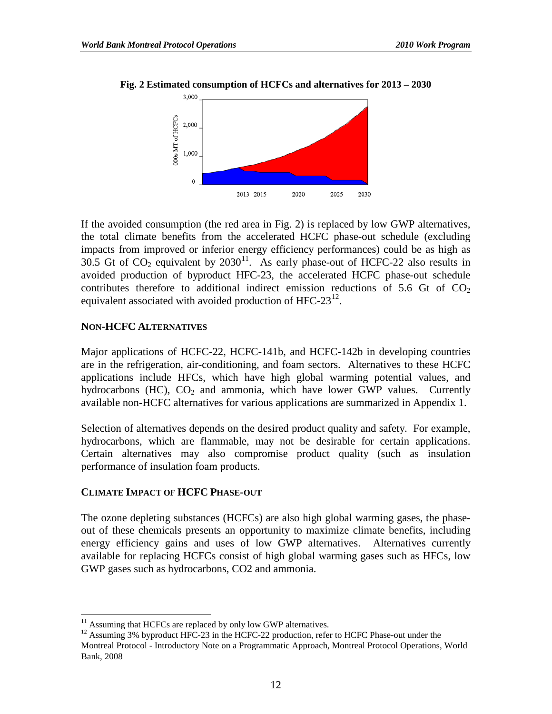

#### **Fig. 2 Estimated consumption of HCFCs and alternatives for 2013 – 2030**

If the avoided consumption (the red area in Fig. 2) is replaced by low GWP alternatives, the total climate benefits from the accelerated HCFC phase-out schedule (excluding impacts from improved or inferior energy efficiency performances) could be as high as 30.5 Gt of  $CO_2$  equivalent by  $2030^{11}$  $2030^{11}$  $2030^{11}$ . As early phase-out of HCFC-22 also results in avoided production of byproduct HFC-23, the accelerated HCFC phase-out schedule contributes therefore to additional indirect emission reductions of 5.6 Gt of  $CO<sub>2</sub>$ equivalent associated with avoided production of HFC-23 $^{12}$  $^{12}$  $^{12}$ .

### **NON-HCFC ALTERNATIVES**

Major applications of HCFC-22, HCFC-141b, and HCFC-142b in developing countries are in the refrigeration, air-conditioning, and foam sectors. Alternatives to these HCFC applications include HFCs, which have high global warming potential values, and hydrocarbons (HC),  $CO<sub>2</sub>$  and ammonia, which have lower GWP values. Currently available non-HCFC alternatives for various applications are summarized in Appendix 1.

Selection of alternatives depends on the desired product quality and safety. For example, hydrocarbons, which are flammable, may not be desirable for certain applications. Certain alternatives may also compromise product quality (such as insulation performance of insulation foam products.

#### **CLIMATE IMPACT OF HCFC PHASE-OUT**

The ozone depleting substances (HCFCs) are also high global warming gases, the phaseout of these chemicals presents an opportunity to maximize climate benefits, including energy efficiency gains and uses of low GWP alternatives. Alternatives currently available for replacing HCFCs consist of high global warming gases such as HFCs, low GWP gases such as hydrocarbons, CO2 and ammonia.

<span id="page-16-1"></span><span id="page-16-0"></span><sup>&</sup>lt;sup>11</sup> Assuming that HCFCs are replaced by only low GWP alternatives.<br><sup>12</sup> Assuming 3% byproduct HFC-23 in the HCFC-22 production, refer to HCFC Phase-out under the Montreal Protocol - Introductory Note on a Programmatic Approach, Montreal Protocol Operations, World Bank, 2008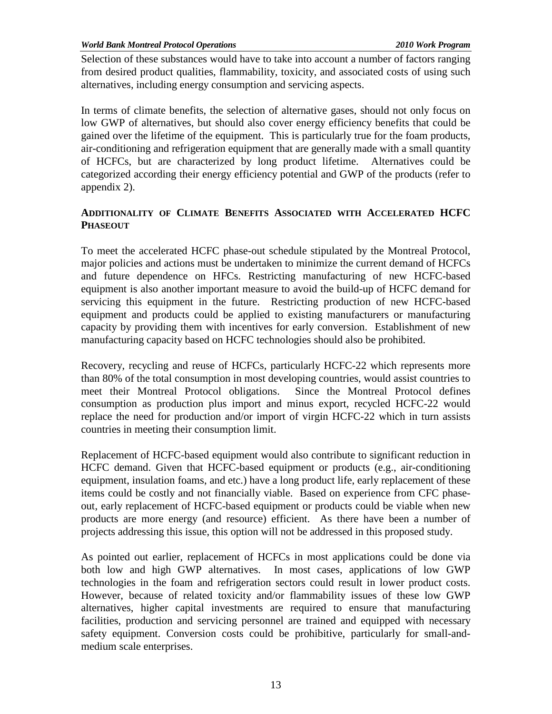*World Bank Montreal Protocol Operations 2010 Work Program* 

Selection of these substances would have to take into account a number of factors ranging from desired product qualities, flammability, toxicity, and associated costs of using such alternatives, including energy consumption and servicing aspects.

In terms of climate benefits, the selection of alternative gases, should not only focus on low GWP of alternatives, but should also cover energy efficiency benefits that could be gained over the lifetime of the equipment. This is particularly true for the foam products, air-conditioning and refrigeration equipment that are generally made with a small quantity of HCFCs, but are characterized by long product lifetime. Alternatives could be categorized according their energy efficiency potential and GWP of the products (refer to appendix 2).

# **ADDITIONALITY OF CLIMATE BENEFITS ASSOCIATED WITH ACCELERATED HCFC PHASEOUT**

To meet the accelerated HCFC phase-out schedule stipulated by the Montreal Protocol, major policies and actions must be undertaken to minimize the current demand of HCFCs and future dependence on HFCs. Restricting manufacturing of new HCFC-based equipment is also another important measure to avoid the build-up of HCFC demand for servicing this equipment in the future. Restricting production of new HCFC-based equipment and products could be applied to existing manufacturers or manufacturing capacity by providing them with incentives for early conversion. Establishment of new manufacturing capacity based on HCFC technologies should also be prohibited.

Recovery, recycling and reuse of HCFCs, particularly HCFC-22 which represents more than 80% of the total consumption in most developing countries, would assist countries to meet their Montreal Protocol obligations. Since the Montreal Protocol defines consumption as production plus import and minus export, recycled HCFC-22 would replace the need for production and/or import of virgin HCFC-22 which in turn assists countries in meeting their consumption limit.

Replacement of HCFC-based equipment would also contribute to significant reduction in HCFC demand. Given that HCFC-based equipment or products (e.g., air-conditioning equipment, insulation foams, and etc.) have a long product life, early replacement of these items could be costly and not financially viable. Based on experience from CFC phaseout, early replacement of HCFC-based equipment or products could be viable when new products are more energy (and resource) efficient. As there have been a number of projects addressing this issue, this option will not be addressed in this proposed study.

As pointed out earlier, replacement of HCFCs in most applications could be done via both low and high GWP alternatives. In most cases, applications of low GWP technologies in the foam and refrigeration sectors could result in lower product costs. However, because of related toxicity and/or flammability issues of these low GWP alternatives, higher capital investments are required to ensure that manufacturing facilities, production and servicing personnel are trained and equipped with necessary safety equipment. Conversion costs could be prohibitive, particularly for small-andmedium scale enterprises.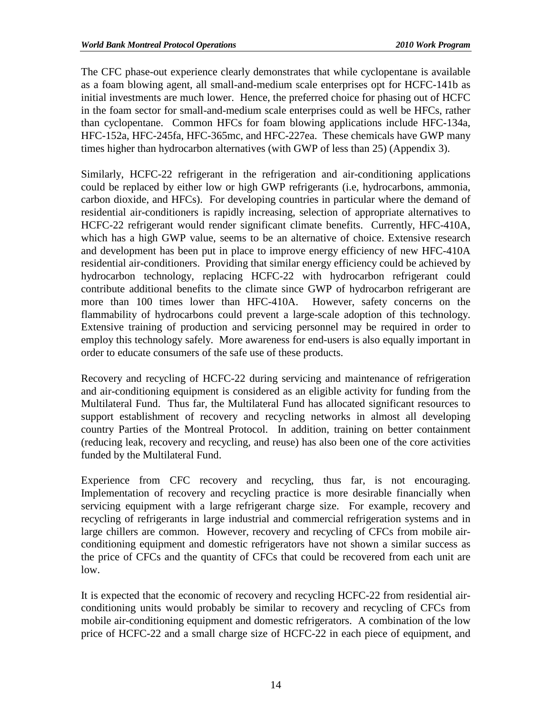The CFC phase-out experience clearly demonstrates that while cyclopentane is available as a foam blowing agent, all small-and-medium scale enterprises opt for HCFC-141b as initial investments are much lower. Hence, the preferred choice for phasing out of HCFC in the foam sector for small-and-medium scale enterprises could as well be HFCs, rather than cyclopentane. Common HFCs for foam blowing applications include HFC-134a, HFC-152a, HFC-245fa, HFC-365mc, and HFC-227ea. These chemicals have GWP many times higher than hydrocarbon alternatives (with GWP of less than 25) (Appendix 3).

Similarly, HCFC-22 refrigerant in the refrigeration and air-conditioning applications could be replaced by either low or high GWP refrigerants (i.e, hydrocarbons, ammonia, carbon dioxide, and HFCs). For developing countries in particular where the demand of residential air-conditioners is rapidly increasing, selection of appropriate alternatives to HCFC-22 refrigerant would render significant climate benefits. Currently, HFC-410A, which has a high GWP value, seems to be an alternative of choice. Extensive research and development has been put in place to improve energy efficiency of new HFC-410A residential air-conditioners. Providing that similar energy efficiency could be achieved by hydrocarbon technology, replacing HCFC-22 with hydrocarbon refrigerant could contribute additional benefits to the climate since GWP of hydrocarbon refrigerant are more than 100 times lower than HFC-410A. However, safety concerns on the flammability of hydrocarbons could prevent a large-scale adoption of this technology. Extensive training of production and servicing personnel may be required in order to employ this technology safely. More awareness for end-users is also equally important in order to educate consumers of the safe use of these products.

Recovery and recycling of HCFC-22 during servicing and maintenance of refrigeration and air-conditioning equipment is considered as an eligible activity for funding from the Multilateral Fund. Thus far, the Multilateral Fund has allocated significant resources to support establishment of recovery and recycling networks in almost all developing country Parties of the Montreal Protocol. In addition, training on better containment (reducing leak, recovery and recycling, and reuse) has also been one of the core activities funded by the Multilateral Fund.

Experience from CFC recovery and recycling, thus far, is not encouraging. Implementation of recovery and recycling practice is more desirable financially when servicing equipment with a large refrigerant charge size. For example, recovery and recycling of refrigerants in large industrial and commercial refrigeration systems and in large chillers are common. However, recovery and recycling of CFCs from mobile airconditioning equipment and domestic refrigerators have not shown a similar success as the price of CFCs and the quantity of CFCs that could be recovered from each unit are low.

It is expected that the economic of recovery and recycling HCFC-22 from residential airconditioning units would probably be similar to recovery and recycling of CFCs from mobile air-conditioning equipment and domestic refrigerators. A combination of the low price of HCFC-22 and a small charge size of HCFC-22 in each piece of equipment, and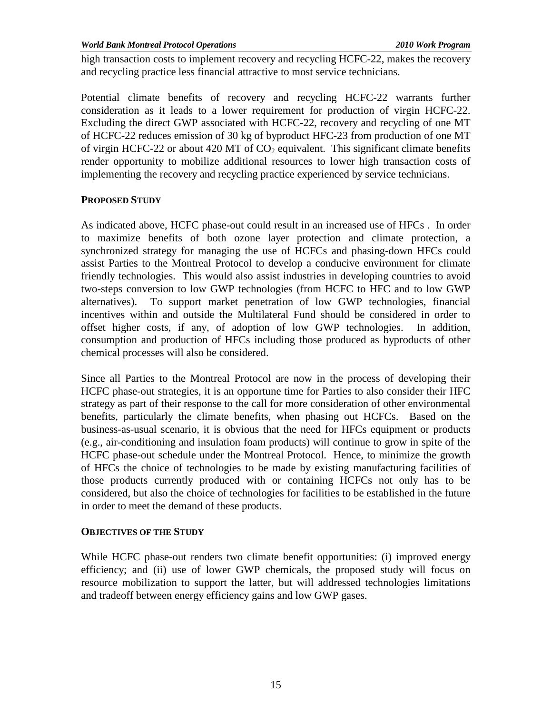*World Bank Montreal Protocol Operations 2010 Work Program* 

high transaction costs to implement recovery and recycling HCFC-22, makes the recovery and recycling practice less financial attractive to most service technicians.

Potential climate benefits of recovery and recycling HCFC-22 warrants further consideration as it leads to a lower requirement for production of virgin HCFC-22. Excluding the direct GWP associated with HCFC-22, recovery and recycling of one MT of HCFC-22 reduces emission of 30 kg of byproduct HFC-23 from production of one MT of virgin HCFC-22 or about 420 MT of  $CO<sub>2</sub>$  equivalent. This significant climate benefits render opportunity to mobilize additional resources to lower high transaction costs of implementing the recovery and recycling practice experienced by service technicians.

# **PROPOSED STUDY**

As indicated above, HCFC phase-out could result in an increased use of HFCs . In order to maximize benefits of both ozone layer protection and climate protection, a synchronized strategy for managing the use of HCFCs and phasing-down HFCs could assist Parties to the Montreal Protocol to develop a conducive environment for climate friendly technologies. This would also assist industries in developing countries to avoid two-steps conversion to low GWP technologies (from HCFC to HFC and to low GWP alternatives). To support market penetration of low GWP technologies, financial incentives within and outside the Multilateral Fund should be considered in order to offset higher costs, if any, of adoption of low GWP technologies. In addition, consumption and production of HFCs including those produced as byproducts of other chemical processes will also be considered.

Since all Parties to the Montreal Protocol are now in the process of developing their HCFC phase-out strategies, it is an opportune time for Parties to also consider their HFC strategy as part of their response to the call for more consideration of other environmental benefits, particularly the climate benefits, when phasing out HCFCs. Based on the business-as-usual scenario, it is obvious that the need for HFCs equipment or products (e.g., air-conditioning and insulation foam products) will continue to grow in spite of the HCFC phase-out schedule under the Montreal Protocol. Hence, to minimize the growth of HFCs the choice of technologies to be made by existing manufacturing facilities of those products currently produced with or containing HCFCs not only has to be considered, but also the choice of technologies for facilities to be established in the future in order to meet the demand of these products.

# **OBJECTIVES OF THE STUDY**

While HCFC phase-out renders two climate benefit opportunities: (i) improved energy efficiency; and (ii) use of lower GWP chemicals, the proposed study will focus on resource mobilization to support the latter, but will addressed technologies limitations and tradeoff between energy efficiency gains and low GWP gases.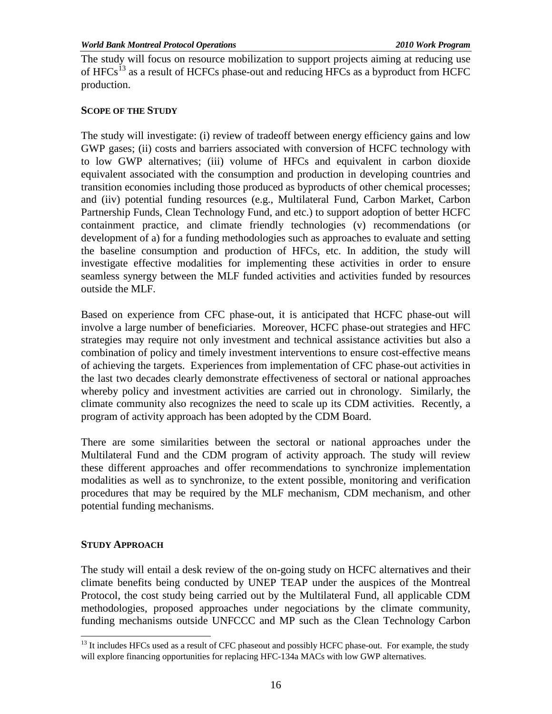The study will focus on resource mobilization to support projects aiming at reducing use of HFCs<sup>[13](#page-20-0)</sup> as a result of HCFCs phase-out and reducing HFCs as a byproduct from HCFC production.

# **SCOPE OF THE STUDY**

The study will investigate: (i) review of tradeoff between energy efficiency gains and low GWP gases; (ii) costs and barriers associated with conversion of HCFC technology with to low GWP alternatives; (iii) volume of HFCs and equivalent in carbon dioxide equivalent associated with the consumption and production in developing countries and transition economies including those produced as byproducts of other chemical processes; and (iiv) potential funding resources (e.g., Multilateral Fund, Carbon Market, Carbon Partnership Funds, Clean Technology Fund, and etc.) to support adoption of better HCFC containment practice, and climate friendly technologies (v) recommendations (or development of a) for a funding methodologies such as approaches to evaluate and setting the baseline consumption and production of HFCs, etc. In addition, the study will investigate effective modalities for implementing these activities in order to ensure seamless synergy between the MLF funded activities and activities funded by resources outside the MLF.

Based on experience from CFC phase-out, it is anticipated that HCFC phase-out will involve a large number of beneficiaries. Moreover, HCFC phase-out strategies and HFC strategies may require not only investment and technical assistance activities but also a combination of policy and timely investment interventions to ensure cost-effective means of achieving the targets. Experiences from implementation of CFC phase-out activities in the last two decades clearly demonstrate effectiveness of sectoral or national approaches whereby policy and investment activities are carried out in chronology. Similarly, the climate community also recognizes the need to scale up its CDM activities. Recently, a program of activity approach has been adopted by the CDM Board.

There are some similarities between the sectoral or national approaches under the Multilateral Fund and the CDM program of activity approach. The study will review these different approaches and offer recommendations to synchronize implementation modalities as well as to synchronize, to the extent possible, monitoring and verification procedures that may be required by the MLF mechanism, CDM mechanism, and other potential funding mechanisms.

# **STUDY APPROACH**

The study will entail a desk review of the on-going study on HCFC alternatives and their climate benefits being conducted by UNEP TEAP under the auspices of the Montreal Protocol, the cost study being carried out by the Multilateral Fund, all applicable CDM methodologies, proposed approaches under negociations by the climate community, funding mechanisms outside UNFCCC and MP such as the Clean Technology Carbon

<span id="page-20-0"></span> $13$  It includes HFCs used as a result of CFC phaseout and possibly HCFC phase-out. For example, the study will explore financing opportunities for replacing HFC-134a MACs with low GWP alternatives.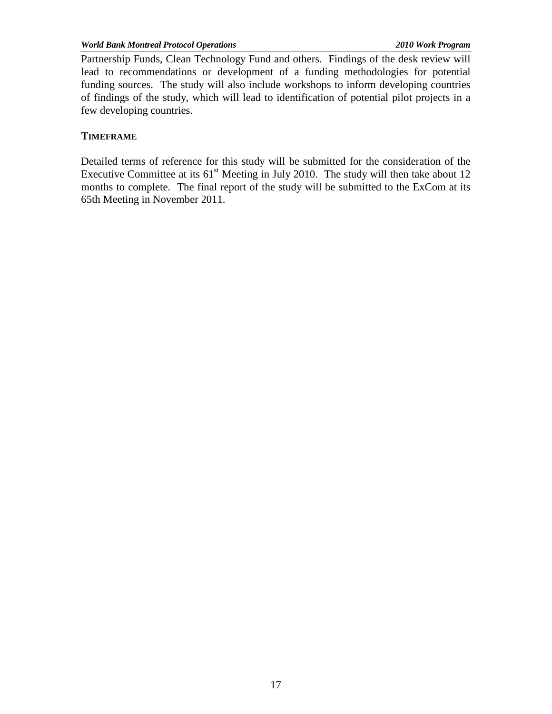Partnership Funds, Clean Technology Fund and others. Findings of the desk review will lead to recommendations or development of a funding methodologies for potential funding sources. The study will also include workshops to inform developing countries of findings of the study, which will lead to identification of potential pilot projects in a few developing countries.

# **TIMEFRAME**

Detailed terms of reference for this study will be submitted for the consideration of the Executive Committee at its  $61<sup>st</sup>$  Meeting in July 2010. The study will then take about 12 months to complete. The final report of the study will be submitted to the ExCom at its 65th Meeting in November 2011.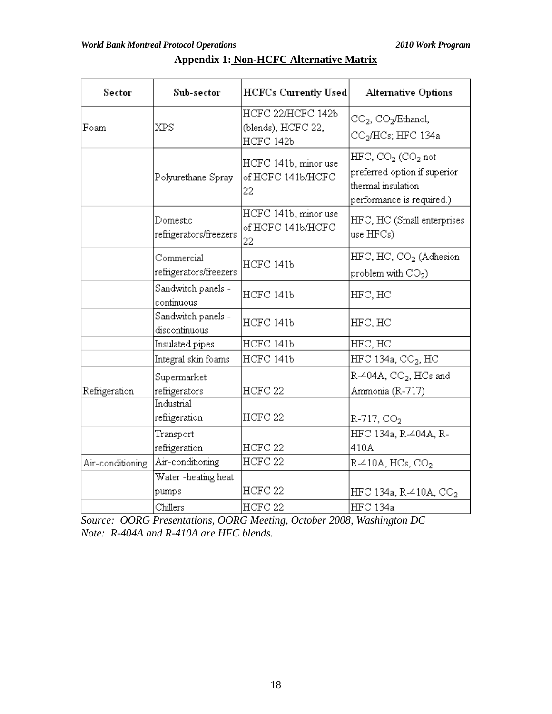| Sector           | Sub-sector                           | <b>HCFCs Currently Used</b>                          | <b>Alternative Options</b>                                                                             |
|------------------|--------------------------------------|------------------------------------------------------|--------------------------------------------------------------------------------------------------------|
| Foam             | XPS                                  | HCFC 22/HCFC 142b<br>(blends), HCFC 22,<br>HCFC 142b | $CO2$ , $CO2/Ethanol$ ,<br>CO <sub>2</sub> /HCs; HFC 134a                                              |
|                  | Polyurethane Spray                   | HCFC 141b, minor use<br>of HCFC 141b/HCFC<br>22      | $HFC, CO2 (CO2 not$<br>preferred option if superior<br>thermal insulation<br>performance is required.) |
|                  | Domestic<br>refrigerators/freezers   | HCFC 141b, minor use<br>of HCFC 141b/HCFC<br>22      | HFC, HC (Small enterprises<br>use $HFCs$ )                                                             |
|                  | Commercial<br>refrigerators/freezers | HCFC 141b                                            | HFC, HC, CO <sub>2</sub> (Adhesion<br>problem with $CO2$ )                                             |
|                  | Sandwitch panels -<br>continuous     | HCFC 141b                                            | HFC, HC                                                                                                |
|                  | Sandwitch panels -<br>discontinuous  | HCFC 141b                                            | HFC, HC                                                                                                |
|                  | Insulated pipes                      | HCFC 141b                                            | HFC, HC                                                                                                |
|                  | Integral skin foams                  | HCFC 141b                                            | $HEC$ 134a, CO <sub>2</sub> , HC                                                                       |
| Refrigeration    | Supermarket<br>refrigerators         | HCFC 22                                              | $R-404A$ , $CO2$ , HCs and<br>Ammonia (R-717)                                                          |
|                  | Industrial<br>refrigeration          | HCFC <sub>22</sub>                                   | $R-717, CO2$                                                                                           |
|                  | Transport<br>refrigeration           | HCFC <sub>22</sub>                                   | HFC 134a, R-404A, R-<br>410A                                                                           |
| Air-conditioning | Air-conditioning                     | HCFC <sub>22</sub>                                   | $R-410A, HCs, CO2$                                                                                     |
|                  | Water -heating heat<br>pumps         | HCFC <sub>22</sub>                                   | HFC 134a, R-410A, CO <sub>2</sub>                                                                      |
|                  | Chillers                             | HCFC <sub>22</sub>                                   | <b>HFC</b> 134a                                                                                        |

# **Appendix 1: Non-HCFC Alternative Matrix**

*Source: OORG Presentations, OORG Meeting, October 2008, Washington DC Note: R-404A and R-410A are HFC blends.*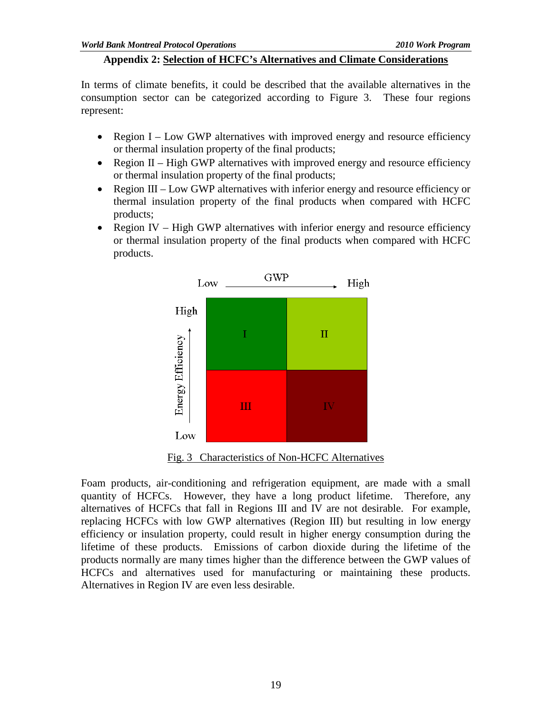#### **Appendix 2: Selection of HCFC's Alternatives and Climate Considerations**

In terms of climate benefits, it could be described that the available alternatives in the consumption sector can be categorized according to Figure 3. These four regions represent:

- Region I Low GWP alternatives with improved energy and resource efficiency or thermal insulation property of the final products;
- Region  $II$  High GWP alternatives with improved energy and resource efficiency or thermal insulation property of the final products;
- Region III Low GWP alternatives with inferior energy and resource efficiency or thermal insulation property of the final products when compared with HCFC products;
- Region IV High GWP alternatives with inferior energy and resource efficiency or thermal insulation property of the final products when compared with HCFC products.



Fig. 3 Characteristics of Non-HCFC Alternatives

Foam products, air-conditioning and refrigeration equipment, are made with a small quantity of HCFCs. However, they have a long product lifetime. Therefore, any alternatives of HCFCs that fall in Regions III and IV are not desirable. For example, replacing HCFCs with low GWP alternatives (Region III) but resulting in low energy efficiency or insulation property, could result in higher energy consumption during the lifetime of these products. Emissions of carbon dioxide during the lifetime of the products normally are many times higher than the difference between the GWP values of HCFCs and alternatives used for manufacturing or maintaining these products. Alternatives in Region IV are even less desirable.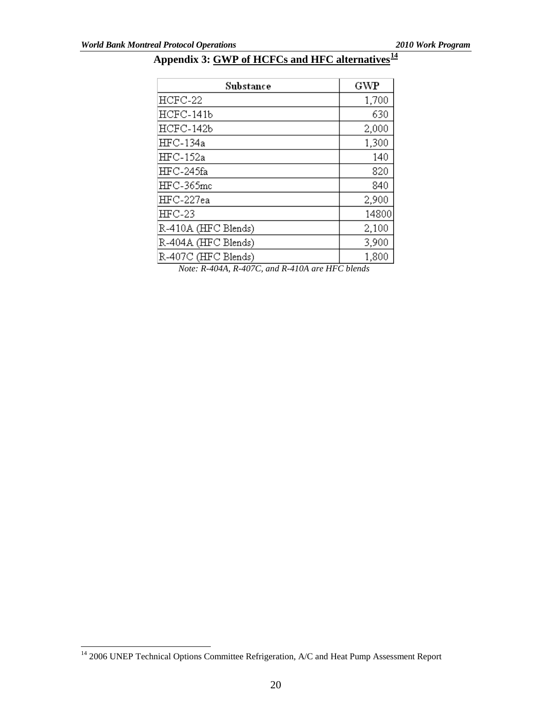# **Appendix 3: GWP of HCFCs and HFC alternatives[14](#page-24-0)**

| Substance           | GWP   |
|---------------------|-------|
| $HCFC-22$           | 1,700 |
| $HCFC-141b$         | 630   |
| HCFC-142b           | 2,000 |
| HFC-134a            | 1,300 |
| <b>HFC-152a</b>     | 140   |
| HFC-245fa           | 820   |
| $HEC-365$ mc        | 840   |
| HFC-227ea           | 2,900 |
| $HEC-23$            | 14800 |
| R-410A (HFC Blends) | 2,100 |
| R-404A (HFC Blends) | 3,900 |
| R-407C (HFC Blends) | 1,800 |

*Note: R-404A, R-407C, and R-410A are HFC blends*

<span id="page-24-0"></span><sup>&</sup>lt;sup>14</sup> 2006 UNEP Technical Options Committee Refrigeration, A/C and Heat Pump Assessment Report